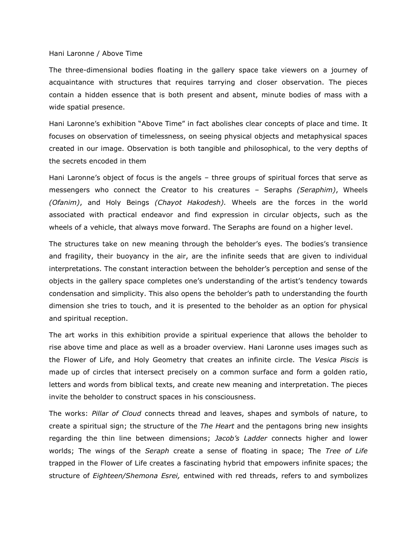## Hani Laronne / Above Time

The three-dimensional bodies floating in the gallery space take viewers on a journey of acquaintance with structures that requires tarrying and closer observation. The pieces contain a hidden essence that is both present and absent, minute bodies of mass with a wide spatial presence.

Hani Laronne's exhibition "Above Time" in fact abolishes clear concepts of place and time. It focuses on observation of timelessness, on seeing physical objects and metaphysical spaces created in our image. Observation is both tangible and philosophical, to the very depths of the secrets encoded in them

Hani Laronne's object of focus is the angels – three groups of spiritual forces that serve as messengers who connect the Creator to his creatures – Seraphs *(Seraphim)*, Wheels *(Ofanim)*, and Holy Beings *(Chayot Hakodesh).* Wheels are the forces in the world associated with practical endeavor and find expression in circular objects, such as the wheels of a vehicle, that always move forward. The Seraphs are found on a higher level.

The structures take on new meaning through the beholder's eyes. The bodies's transience and fragility, their buoyancy in the air, are the infinite seeds that are given to individual interpretations. The constant interaction between the beholder's perception and sense of the objects in the gallery space completes one's understanding of the artist's tendency towards condensation and simplicity. This also opens the beholder's path to understanding the fourth dimension she tries to touch, and it is presented to the beholder as an option for physical and spiritual reception.

The art works in this exhibition provide a spiritual experience that allows the beholder to rise above time and place as well as a broader overview. Hani Laronne uses images such as the Flower of Life, and Holy Geometry that creates an infinite circle. The *Vesica Piscis* is made up of circles that intersect precisely on a common surface and form a golden ratio, letters and words from biblical texts, and create new meaning and interpretation. The pieces invite the beholder to construct spaces in his consciousness.

The works: *Pillar of Cloud* connects thread and leaves, shapes and symbols of nature, to create a spiritual sign; the structure of the *The Heart* and the pentagons bring new insights regarding the thin line between dimensions; *Jacob's Ladder* connects higher and lower worlds; The wings of the *Seraph* create a sense of floating in space; The *Tree of Life* trapped in the Flower of Life creates a fascinating hybrid that empowers infinite spaces; the structure of *Eighteen/Shemona Esrei,* entwined with red threads, refers to and symbolizes